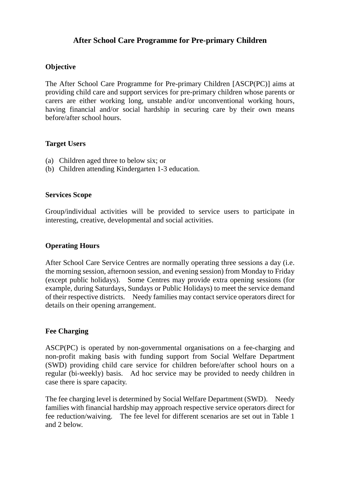## **After School Care Programme for Pre-primary Children**

### **Objective**

The After School Care Programme for Pre-primary Children [ASCP(PC)] aims at providing child care and support services for pre-primary children whose parents or carers are either working long, unstable and/or unconventional working hours, having financial and/or social hardship in securing care by their own means before/after school hours.

#### **Target Users**

- (a) Children aged three to below six; or
- (b) Children attending Kindergarten 1-3 education.

#### **Services Scope**

Group/individual activities will be provided to service users to participate in interesting, creative, developmental and social activities.

### **Operating Hours**

After School Care Service Centres are normally operating three sessions a day (i.e. the morning session, afternoon session, and evening session) from Monday to Friday (except public holidays). Some Centres may provide extra opening sessions (for example, during Saturdays, Sundays or Public Holidays) to meet the service demand of their respective districts. Needy families may contact service operators direct for details on their opening arrangement.

### **Fee Charging**

ASCP(PC) is operated by non-governmental organisations on a fee-charging and non-profit making basis with funding support from Social Welfare Department (SWD) providing child care service for children before/after school hours on a regular (bi-weekly) basis. Ad hoc service may be provided to needy children in case there is spare capacity.

The fee charging level is determined by Social Welfare Department (SWD). Needy families with financial hardship may approach respective service operators direct for fee reduction/waiving. The fee level for different scenarios are set out in Table 1 and 2 below.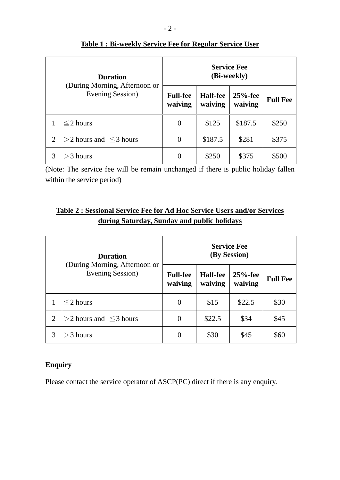|                | <b>Duration</b><br>(During Morning, Afternoon or<br>Evening Session) | <b>Service Fee</b><br>(Bi-weekly) |                            |                       |                 |  |
|----------------|----------------------------------------------------------------------|-----------------------------------|----------------------------|-----------------------|-----------------|--|
|                |                                                                      | <b>Full-fee</b><br>waiving        | <b>Half-fee</b><br>waiving | $25%$ -fee<br>waiving | <b>Full Fee</b> |  |
|                | $\leq$ 2 hours                                                       | $\theta$                          | \$125                      | \$187.5               | \$250           |  |
| $\overline{2}$ | $ >2$ hours and $\leq$ 3 hours                                       | $\theta$                          | \$187.5                    | \$281                 | \$375           |  |
| 3              | > 3 hours                                                            | 0                                 | \$250                      | \$375                 | \$500           |  |

# **Table 1 : Bi-weekly Service Fee for Regular Service User**

(Note: The service fee will be remain unchanged if there is public holiday fallen within the service period)

# **Table 2 : Sessional Service Fee for Ad Hoc Service Users and/or Services during Saturday, Sunday and public holidays**

|                | <b>Duration</b><br>(During Morning, Afternoon or<br>Evening Session) | <b>Service Fee</b><br>(By Session) |                            |                       |                 |  |
|----------------|----------------------------------------------------------------------|------------------------------------|----------------------------|-----------------------|-----------------|--|
|                |                                                                      | <b>Full-fee</b><br>waiving         | <b>Half-fee</b><br>waiving | $25%$ -fee<br>waiving | <b>Full Fee</b> |  |
|                | $\leq$ 2 hours                                                       | $\theta$                           | \$15                       | \$22.5                | \$30            |  |
| $\overline{2}$ | $>$ 2 hours and $\leq$ 3 hours                                       | 0                                  | \$22.5                     | \$34                  | \$45            |  |
| 3              | > 3 hours                                                            |                                    | \$30                       | \$45                  | \$60            |  |

## **Enquiry**

Please contact the service operator of ASCP(PC) direct if there is any enquiry.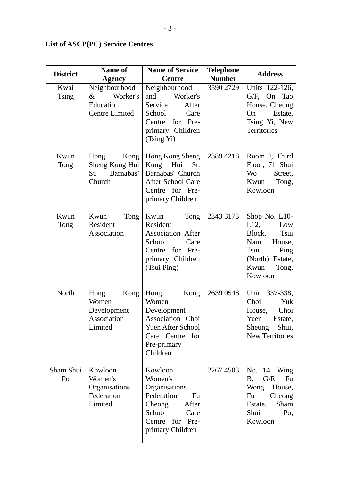| <b>District</b>      | <b>Name of</b><br><b>Agency</b>                                         | <b>Name of Service</b><br><b>Centre</b>                                                                                          | <b>Telephone</b><br><b>Number</b> | <b>Address</b>                                                                                                                    |
|----------------------|-------------------------------------------------------------------------|----------------------------------------------------------------------------------------------------------------------------------|-----------------------------------|-----------------------------------------------------------------------------------------------------------------------------------|
| Kwai<br><b>Tsing</b> | Neighbourhood<br>Worker's<br>$\&$<br>Education<br><b>Centre Limited</b> | Neighbourhood<br>Worker's<br>and<br>After<br>Service<br>School<br>Care<br>Centre<br>for Pre-<br>primary Children<br>(Tsing Yi)   | 3590 2729                         | Units 122-126,<br>G/F, On Tao<br>House, Cheung<br>Estate,<br>On<br>Tsing Yi, New<br>Territories                                   |
| Kwun<br>Tong         | Hong<br>Kong<br>Sheng Kung Hui<br>Barnabas'<br>St.<br>Church            | Hong Kong Sheng<br>Kung Hui<br>St.<br>Barnabas' Church<br>After School Care<br>for Pre-<br>Centre<br>primary Children            | 2389 4218                         | Room J, Third<br>Floor, 71 Shui<br>Wo<br>Street,<br>Kwun Tong,<br>Kowloon                                                         |
| Kwun<br>Tong         | Tong<br>Kwun<br>Resident<br>Association                                 | Tong<br>Kwun<br>Resident<br>Association After<br>School<br>Care<br>Centre for Pre-<br>primary Children<br>(Tsui Ping)            | 2343 3173                         | Shop No. L10-<br>$L12$ ,<br>Low<br>Block,<br>Tsui<br>Nam<br>House,<br>Tsui<br>Ping<br>(North) Estate,<br>Kwun<br>Tong,<br>Kowloon |
| North                | Hong<br>Kong<br>Women<br>Development<br>Association<br>Limited          | Hong<br>Kong<br>Women<br>Development<br>Association Choi<br>Yuen After School<br>Care Centre for<br>Pre-primary<br>Children      | 2639 0548                         | Unit<br>337-338,<br>Choi<br>Yuk<br>Choi<br>House,<br>Yuen<br>Estate,<br>Sheung Shui,<br><b>New Territories</b>                    |
| Sham Shui<br>Po      | Kowloon<br>Women's<br>Organisations<br>Federation<br>Limited            | Kowloon<br>Women's<br>Organisations<br>Federation<br>Fu<br>Cheong<br>After<br>School Care<br>Centre for Pre-<br>primary Children | 2267 4503                         | No. 14, Wing<br>$G/F$ ,<br>Β,<br>Fu<br>Wong<br>House,<br>Cheong<br>Fu<br>Sham<br>Estate,<br>Shui<br>Po,<br>Kowloon                |